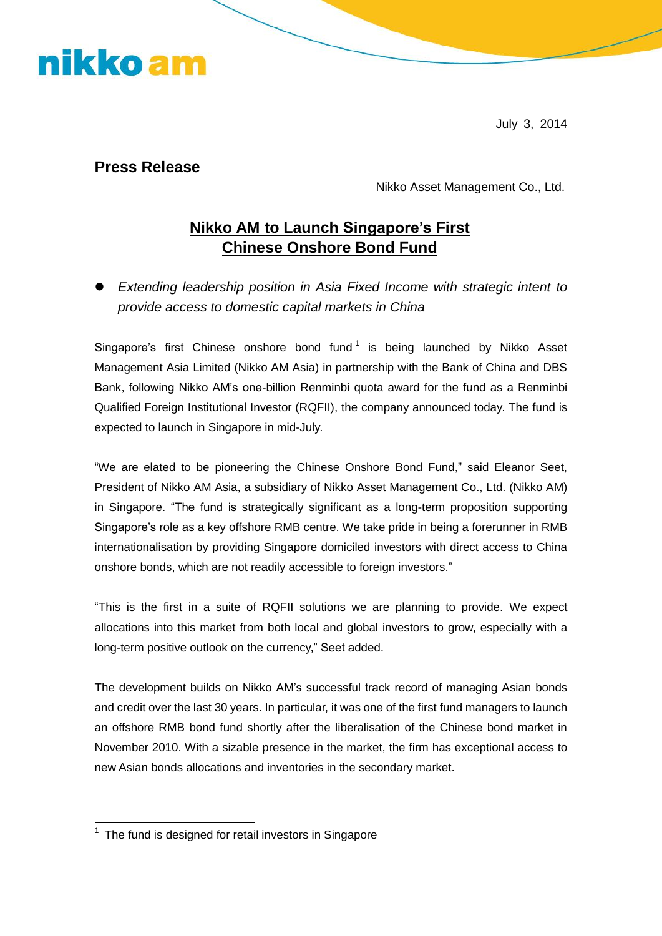nikko am

July 3, 2014

#### **Press Release**

Nikko Asset Management Co., Ltd.

### **Nikko AM to Launch Singapore's First Chinese Onshore Bond Fund**

 *Extending leadership position in Asia Fixed Income with strategic intent to provide access to domestic capital markets in China*

Singapore's first Chinese onshore bond fund<sup>1</sup> is being launched by Nikko Asset Management Asia Limited (Nikko AM Asia) in partnership with the Bank of China and DBS Bank, following Nikko AM's one-billion Renminbi quota award for the fund as a Renminbi Qualified Foreign Institutional Investor (RQFII), the company announced today. The fund is expected to launch in Singapore in mid-July.

"We are elated to be pioneering the Chinese Onshore Bond Fund," said Eleanor Seet, President of Nikko AM Asia, a subsidiary of Nikko Asset Management Co., Ltd. (Nikko AM) in Singapore. "The fund is strategically significant as a long-term proposition supporting Singapore's role as a key offshore RMB centre. We take pride in being a forerunner in RMB internationalisation by providing Singapore domiciled investors with direct access to China onshore bonds, which are not readily accessible to foreign investors."

"This is the first in a suite of RQFII solutions we are planning to provide. We expect allocations into this market from both local and global investors to grow, especially with a long-term positive outlook on the currency," Seet added.

The development builds on Nikko AM's successful track record of managing Asian bonds and credit over the last 30 years. In particular, it was one of the first fund managers to launch an offshore RMB bond fund shortly after the liberalisation of the Chinese bond market in November 2010. With a sizable presence in the market, the firm has exceptional access to new Asian bonds allocations and inventories in the secondary market.

<sup>-</sup> $1$  The fund is designed for retail investors in Singapore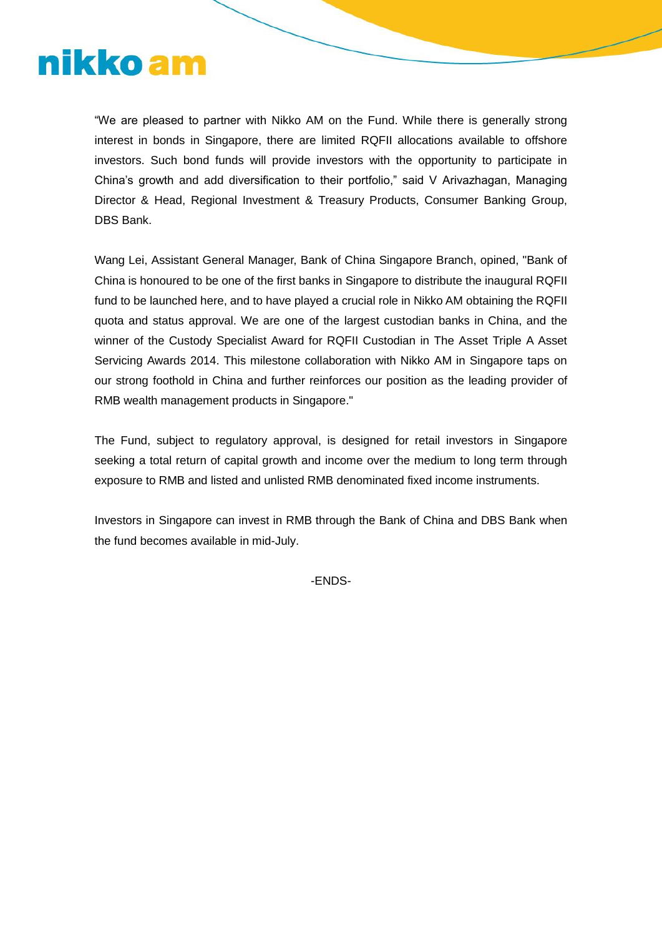## nikko am

"We are pleased to partner with Nikko AM on the Fund. While there is generally strong interest in bonds in Singapore, there are limited RQFII allocations available to offshore investors. Such bond funds will provide investors with the opportunity to participate in China's growth and add diversification to their portfolio," said V Arivazhagan, Managing Director & Head, Regional Investment & Treasury Products, Consumer Banking Group, DBS Bank.

Wang Lei, Assistant General Manager, Bank of China Singapore Branch, opined, "Bank of China is honoured to be one of the first banks in Singapore to distribute the inaugural RQFII fund to be launched here, and to have played a crucial role in Nikko AM obtaining the RQFII quota and status approval. We are one of the largest custodian banks in China, and the winner of the Custody Specialist Award for RQFII Custodian in The Asset Triple A Asset Servicing Awards 2014. This milestone collaboration with Nikko AM in Singapore taps on our strong foothold in China and further reinforces our position as the leading provider of RMB wealth management products in Singapore."

The Fund, subject to regulatory approval, is designed for retail investors in Singapore seeking a total return of capital growth and income over the medium to long term through exposure to RMB and listed and unlisted RMB denominated fixed income instruments.

Investors in Singapore can invest in RMB through the Bank of China and DBS Bank when the fund becomes available in mid-July.

-ENDS-